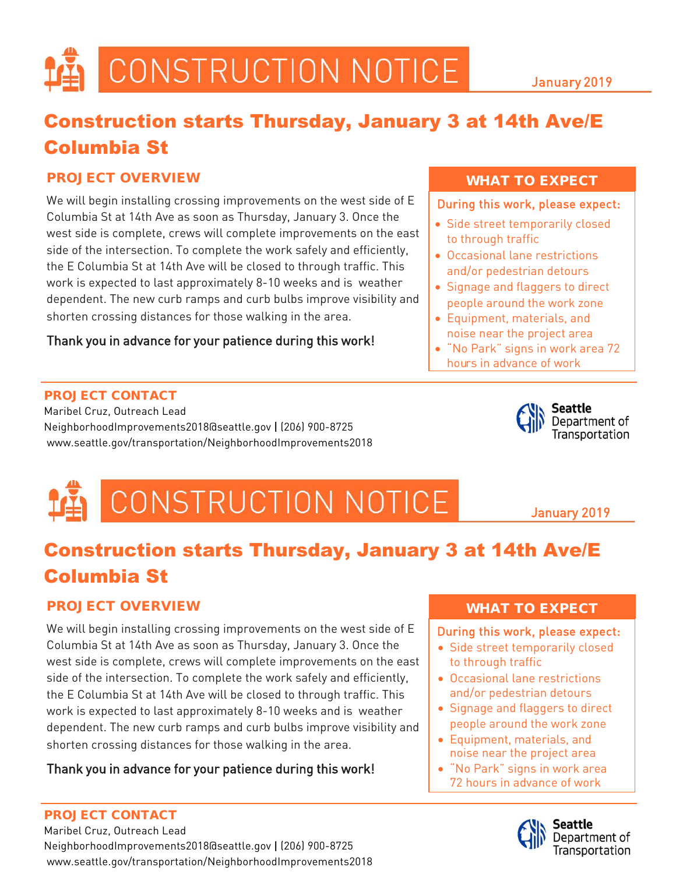#### Construction starts Thursday, January 3 at 14th Ave/E Columbia St

#### PROJECT OVERVIEW

We will begin installing crossing improvements on the west side of E Columbia St at 14th Ave as soon as Thursday, January 3. Once the west side is complete, crews will complete improvements on the east side of the intersection. To complete the work safely and efficiently, the E Columbia St at 14th Ave will be closed to through traffic. This work is expected to last approximately 8-10 weeks and is weather dependent. The new curb ramps and curb bulbs improve visibility and shorten crossing distances for those walking in the area.

#### Thank you in advance for your patience during this work!

#### PROJECT CONTACT

Maribel Cruz, Outreach Lead NeighborhoodImprovements2018@seattle.gov | (206) 900-8725 www.seattle.gov/transportation/NeighborhoodImprovements2018

#### WHAT TO EXPECT

During this work, please expect:

- Side street temporarily closed to through traffic
- Occasional lane restrictions and/or pedestrian detours
- Signage and flaggers to direct people around the work zone
- Equipment, materials, and noise near the project area
- "No Park" signs in work area 72 hours in advance of work



January 2019

### CONSTRUCTION NOTICE

#### Construction starts Thursday, January 3 at 14th Ave/E Columbia St

#### PROJECT OVERVIEW

We will begin installing crossing improvements on the west side of E Columbia St at 14th Ave as soon as Thursday, January 3. Once the west side is complete, crews will complete improvements on the east side of the intersection. To complete the work safely and efficiently, the E Columbia St at 14th Ave will be closed to through traffic. This work is expected to last approximately 8-10 weeks and is weather dependent. The new curb ramps and curb bulbs improve visibility and shorten crossing distances for those walking in the area.

#### Thank you in advance for your patience during this work!

#### PROJECT CONTACT

Maribel Cruz, Outreach Lead NeighborhoodImprovements2018@seattle.gov | (206) 900-8725 www.seattle.gov/transportation/NeighborhoodImprovements2018

#### WHAT TO EXPECT

#### During this work, please expect:

- Side street temporarily closed to through traffic
- Occasional lane restrictions and/or pedestrian detours
- Signage and flaggers to direct people around the work zone
- Equipment, materials, and noise near the project area
- "No Park" signs in work area 72 hours in advance of work